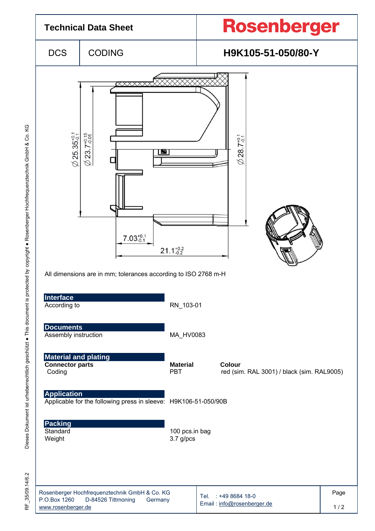

KG

RF\_35/09.14/6.2 35/09.14/6.2 눈